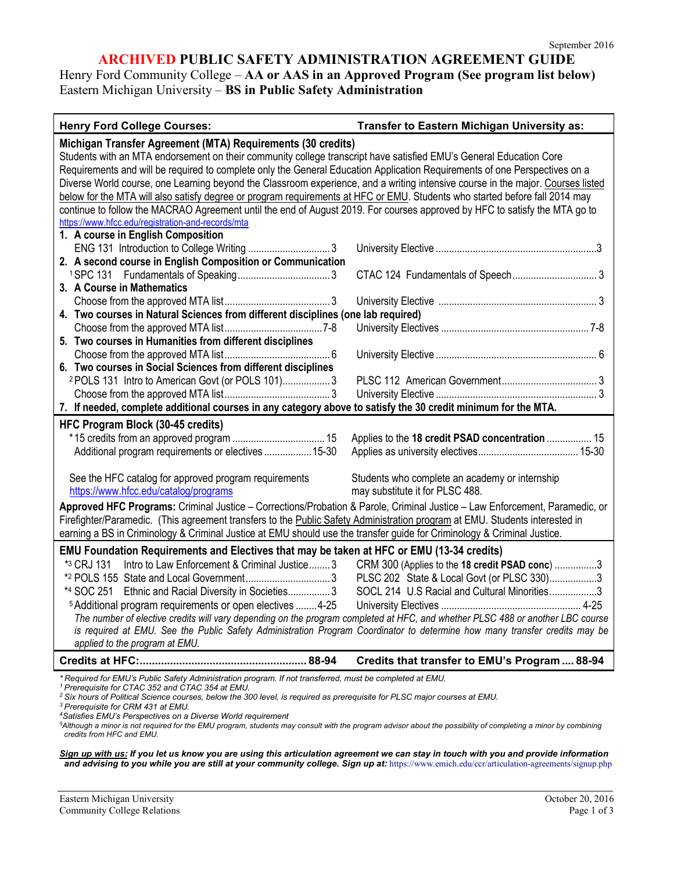## **ARCHIVED PUBLIC SAFETY ADMINISTRATION AGREEMENT GUIDE**

Henry Ford Community College – **AA or AAS in an Approved Program (See program list below)** Eastern Michigan University – **BS in Public Safety Administration**

| <b>Henry Ford College Courses:</b>                                                                                                                                                                                                                                                                                                                                                                                                                                                                                                                                                                                                                                                                                                                                   | Transfer to Eastern Michigan University as:                                                                                                  |
|----------------------------------------------------------------------------------------------------------------------------------------------------------------------------------------------------------------------------------------------------------------------------------------------------------------------------------------------------------------------------------------------------------------------------------------------------------------------------------------------------------------------------------------------------------------------------------------------------------------------------------------------------------------------------------------------------------------------------------------------------------------------|----------------------------------------------------------------------------------------------------------------------------------------------|
| Michigan Transfer Agreement (MTA) Requirements (30 credits)<br>Students with an MTA endorsement on their community college transcript have satisfied EMU's General Education Core<br>Requirements and will be required to complete only the General Education Application Requirements of one Perspectives on a<br>Diverse World course, one Learning beyond the Classroom experience, and a writing intensive course in the major. Courses listed<br>below for the MTA will also satisfy degree or program requirements at HFC or EMU. Students who started before fall 2014 may<br>continue to follow the MACRAO Agreement until the end of August 2019. For courses approved by HFC to satisfy the MTA go to<br>https://www.hfcc.edu/registration-and-records/mta |                                                                                                                                              |
| 1. A course in English Composition<br>2. A second course in English Composition or Communication                                                                                                                                                                                                                                                                                                                                                                                                                                                                                                                                                                                                                                                                     |                                                                                                                                              |
| 3. A Course in Mathematics<br>4. Two courses in Natural Sciences from different disciplines (one lab required)                                                                                                                                                                                                                                                                                                                                                                                                                                                                                                                                                                                                                                                       |                                                                                                                                              |
| 5. Two courses in Humanities from different disciplines<br>6. Two courses in Social Sciences from different disciplines<br><sup>2</sup> POLS 131 Intro to American Govt (or POLS 101)3<br>7. If needed, complete additional courses in any category above to satisfy the 30 credit minimum for the MTA.                                                                                                                                                                                                                                                                                                                                                                                                                                                              |                                                                                                                                              |
| HFC Program Block (30-45 credits)<br>Additional program requirements or electives 15-30<br>See the HFC catalog for approved program requirements<br>https://www.hfcc.edu/catalog/programs                                                                                                                                                                                                                                                                                                                                                                                                                                                                                                                                                                            | Applies to the 18 credit PSAD concentration  15<br>Students who complete an academy or internship<br>may substitute it for PLSC 488.         |
| Approved HFC Programs: Criminal Justice - Corrections/Probation & Parole, Criminal Justice - Law Enforcement, Paramedic, or<br>Firefighter/Paramedic. (This agreement transfers to the Public Safety Administration program at EMU. Students interested in<br>earning a BS in Criminology & Criminal Justice at EMU should use the transfer guide for Criminology & Criminal Justice.                                                                                                                                                                                                                                                                                                                                                                                |                                                                                                                                              |
| EMU Foundation Requirements and Electives that may be taken at HFC or EMU (13-34 credits)<br>*3 CRJ 131<br>Intro to Law Enforcement & Criminal Justice 3<br>*4 SOC 251 Ethnic and Racial Diversity in Societies3<br>5 Additional program requirements or open electives  4-25<br>The number of elective credits will vary depending on the program completed at HFC, and whether PLSC 488 or another LBC course<br>is required at EMU. See the Public Safety Administration Program Coordinator to determine how many transfer credits may be<br>applied to the program at EMU.                                                                                                                                                                                      | CRM 300 (Applies to the 18 credit PSAD conc) 3<br>PLSC 202 State & Local Govt (or PLSC 330)3<br>SOCL 214 U.S Racial and Cultural Minorities3 |
|                                                                                                                                                                                                                                                                                                                                                                                                                                                                                                                                                                                                                                                                                                                                                                      | Credits that transfer to EMU's Program  88-94                                                                                                |
| *Required for EMU's Public Safety Administration program. If not transferred, must be completed at EMU.<br><sup>1</sup> Prerequisite for CTAC 352 and CTAC 354 at EMU.                                                                                                                                                                                                                                                                                                                                                                                                                                                                                                                                                                                               |                                                                                                                                              |

- <sup>2</sup> Six hours of Political Science courses, below the 300 level, is required as prerequisite for PLSC major courses at EMU.<br><sup>3</sup> Prerequisite for CRM 431 at EMU.
- <sup>4</sup> Satisfies EMU's Perspectives on a Diverse World requirement

*Sign up with us: If you let us know you are using this articulation agreement we can stay in touch with you and provide information and advising to you while you are still at your community college. Sign up at:* https://www.emich.edu/ccr/articulation-agreements/signup.php

*<sup>5</sup> Although a minor is not required for the EMU program, students may consult with the program advisor about the possibility of completing a minor by combining credits from HFC and EMU.*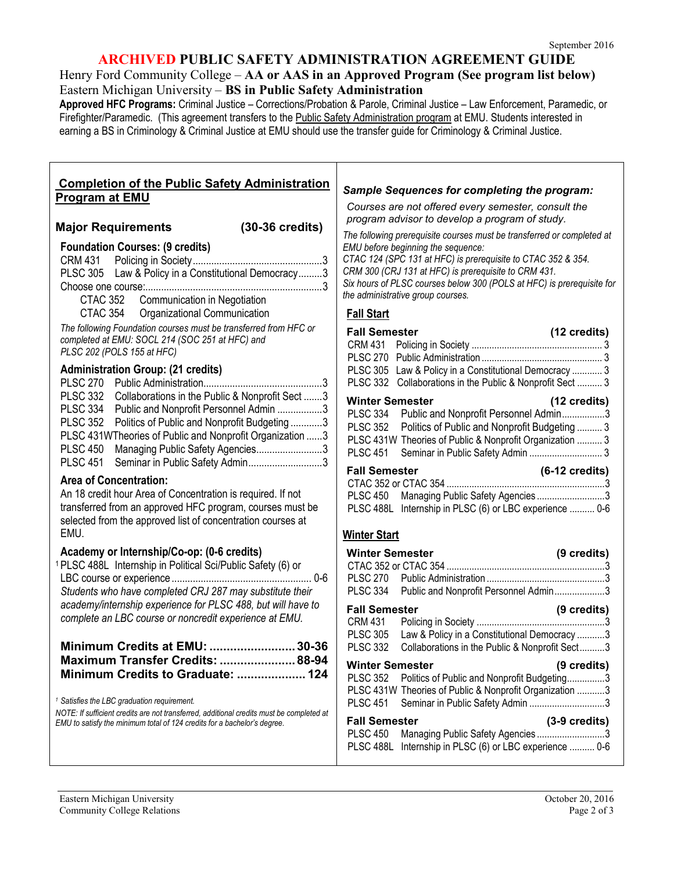### **ARCHIVED PUBLIC SAFETY ADMINISTRATION AGREEMENT GUIDE**

Henry Ford Community College – **AA or AAS in an Approved Program (See program list below)** Eastern Michigan University – **BS in Public Safety Administration**

**Approved HFC Programs:** Criminal Justice – Corrections/Probation & Parole, Criminal Justice – Law Enforcement, Paramedic, or Firefighter/Paramedic. (This agreement transfers to the Public Safety Administration program at EMU. Students interested in earning a BS in Criminology & Criminal Justice at EMU should use the transfer guide for Criminology & Criminal Justice.

### **Completion of the Public Safety Administration Program at EMU**

**Major Requirements (30-36 credits)**

CRM 431 Policing in Society.................................................3 PLSC 305 Law & Policy in a Constitutional Democracy.........3 Choose one course:...................................................................3

CTAC 352 Communication in Negotiation CTAC 354 Organizational Communication

**Foundation Courses: (9 credits)**

EMU.

*Sample Sequences for completing the program:*

*Courses are not offered every semester, consult the program advisor to develop a program of study.*

*The following prerequisite courses must be transferred or completed at EMU before beginning the sequence: CTAC 124 (SPC 131 at HFC) is prerequisite to CTAC 352 & 354. CRM 300 (CRJ 131 at HFC) is prerequisite to CRM 431. Six hours of PLSC courses below 300 (POLS at HFC) is prerequisite for the administrative group courses.*

## **Fall Start**

| <b>Fall Semester</b>            |                                                           | (12 credits) |
|---------------------------------|-----------------------------------------------------------|--------------|
|                                 |                                                           |              |
|                                 |                                                           |              |
|                                 | PLSC 305 Law & Policy in a Constitutional Democracy  3    |              |
|                                 | PLSC 332 Collaborations in the Public & Nonprofit Sect  3 |              |
| (12 credits)<br>Winter Semester |                                                           |              |
|                                 | PLSC 334 Public and Nonprofit Personnel Admin3            |              |
|                                 | PLSC 352 Politics of Public and Nonprofit Budgeting  3    |              |
|                                 |                                                           |              |

| PLSC 352 Politics of Public and Nonprofit Budgeting  3   |  |
|----------------------------------------------------------|--|
| PLSC 431W Theories of Public & Nonprofit Organization  3 |  |
| PLSC 451 Seminar in Public Safety Admin  3               |  |

| <b>Fall Semester</b> |                                                         | $(6-12 \text{ credits})$ |
|----------------------|---------------------------------------------------------|--------------------------|
|                      |                                                         |                          |
|                      | PLSC 450 Managing Public Safety Agencies3               |                          |
|                      | PLSC 488L Internship in PLSC (6) or LBC experience  0-6 |                          |

| <b>Winter Semester</b>                                                |                                                                                                      | (9 credits)           |
|-----------------------------------------------------------------------|------------------------------------------------------------------------------------------------------|-----------------------|
|                                                                       |                                                                                                      |                       |
|                                                                       | PLSC 334 Public and Nonprofit Personnel Admin3                                                       |                       |
| <b>Fall Semester</b><br>CRM 431<br><b>PLSC 305</b><br><b>PLSC 332</b> | Law & Policy in a Constitutional Democracy 3<br>Collaborations in the Public & Nonprofit Sect3       | (9 credits)           |
| <b>Winter Semester</b>                                                |                                                                                                      | $(9 \text{ credits})$ |
|                                                                       | PLSC 352 Politics of Public and Nonprofit Budgeting3                                                 |                       |
|                                                                       | PLSC 431W Theories of Public & Nonprofit Organization 3<br>PLSC 451 Seminar in Public Safety Admin 3 |                       |
| <b>Fall Semester</b>                                                  |                                                                                                      | $(3-9)$ credits)      |
| PLSC 450                                                              | Managing Public Safety Agencies3<br>PLSC 488L Internship in PLSC (6) or LBC experience  0-6          |                       |

# Eastern Michigan University October 20, 2016 Community College Relations Page 2 of 3 *The following Foundation courses must be transferred from HFC or completed at EMU: SOCL 214 (SOC 251 at HFC) and PLSC 202 (POLS 155 at HFC)* **Administration Group: (21 credits)** PLSC 270 Public Administration.............................................3 PLSC 332 Collaborations in the Public & Nonprofit Sect .......3 PLSC 334 Public and Nonprofit Personnel Admin .................3 PLSC 352 Politics of Public and Nonprofit Budgeting ............3 PLSC 431WTheories of Public and Nonprofit Organization ......3 PLSC 450 Managing Public Safety Agencies..........................3 PLSC 451 Seminar in Public Safety Admin.............................3 **Area of Concentration:**  An 18 credit hour Area of Concentration is required. If not transferred from an approved HFC program, courses must be selected from the approved list of concentration courses at **Academy or Internship/Co-op: (0-6 credits)** 1PLSC 488L Internship in Political Sci/Public Safety (6) or LBC course or experience ..................................................... 0-6 *Students who have completed CRJ 287 may substitute their academy/internship experience for PLSC 488, but will have to complete an LBC course or noncredit experience at EMU.* **Minimum Credits at EMU: .........................30-36 Maximum Transfer Credits: ......................88-94 Minimum Credits to Graduate: .................... 124** *<sup>1</sup> Satisfies the LBC graduation requirement. NOTE: If sufficient credits are not transferred, additional credits must be completed at EMU to satisfy the minimum total of 124 credits for a bachelor's degree.* **Winter Start**